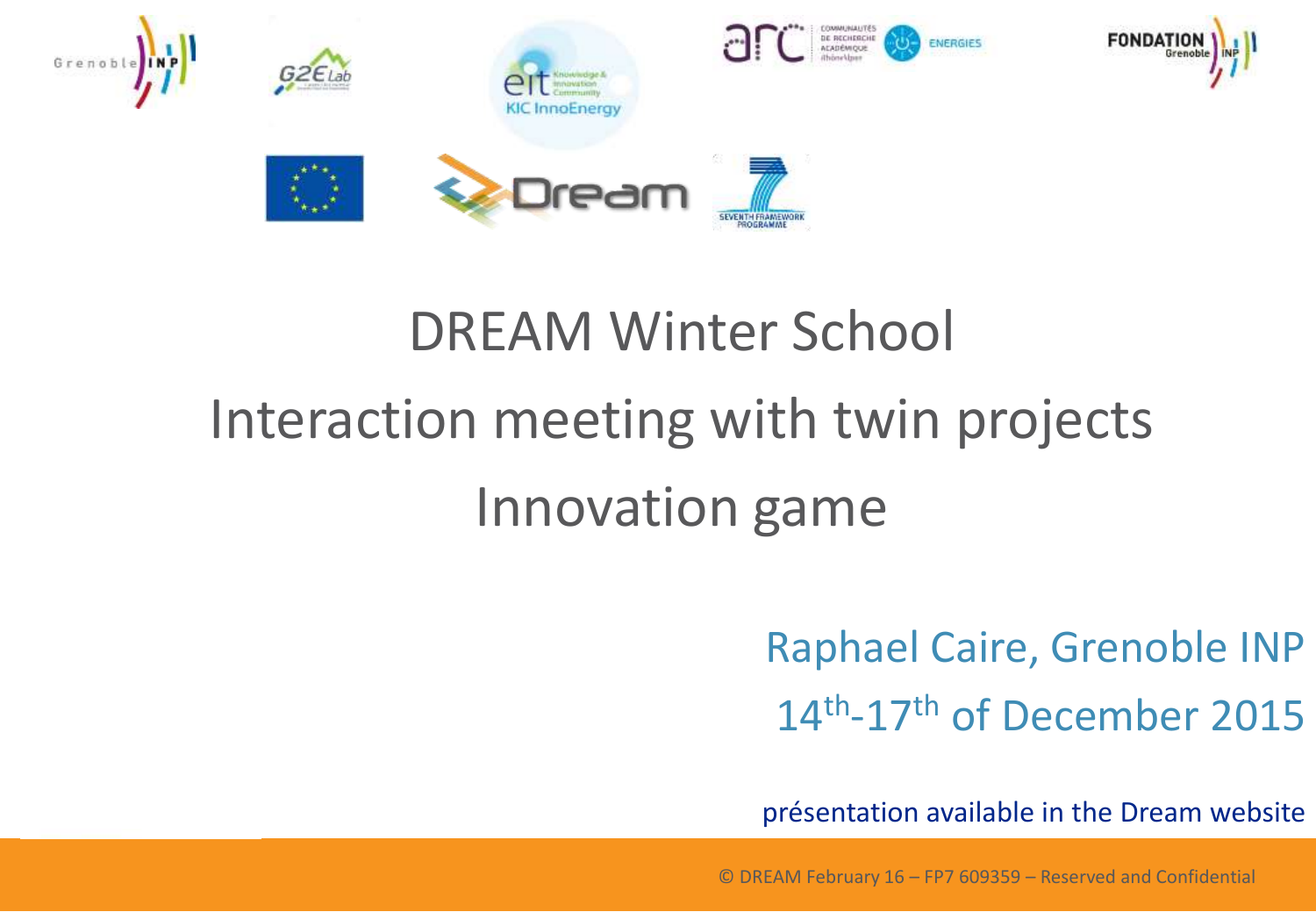

## DREAM Winter School

# Interaction meeting with twin projects Innovation game

Raphael Caire, Grenoble INP 14<sup>th</sup>-17<sup>th</sup> of December 2015

présentation available in the Dream website

© DREAM February 16 – FP7 609359 – Reserved and Confidential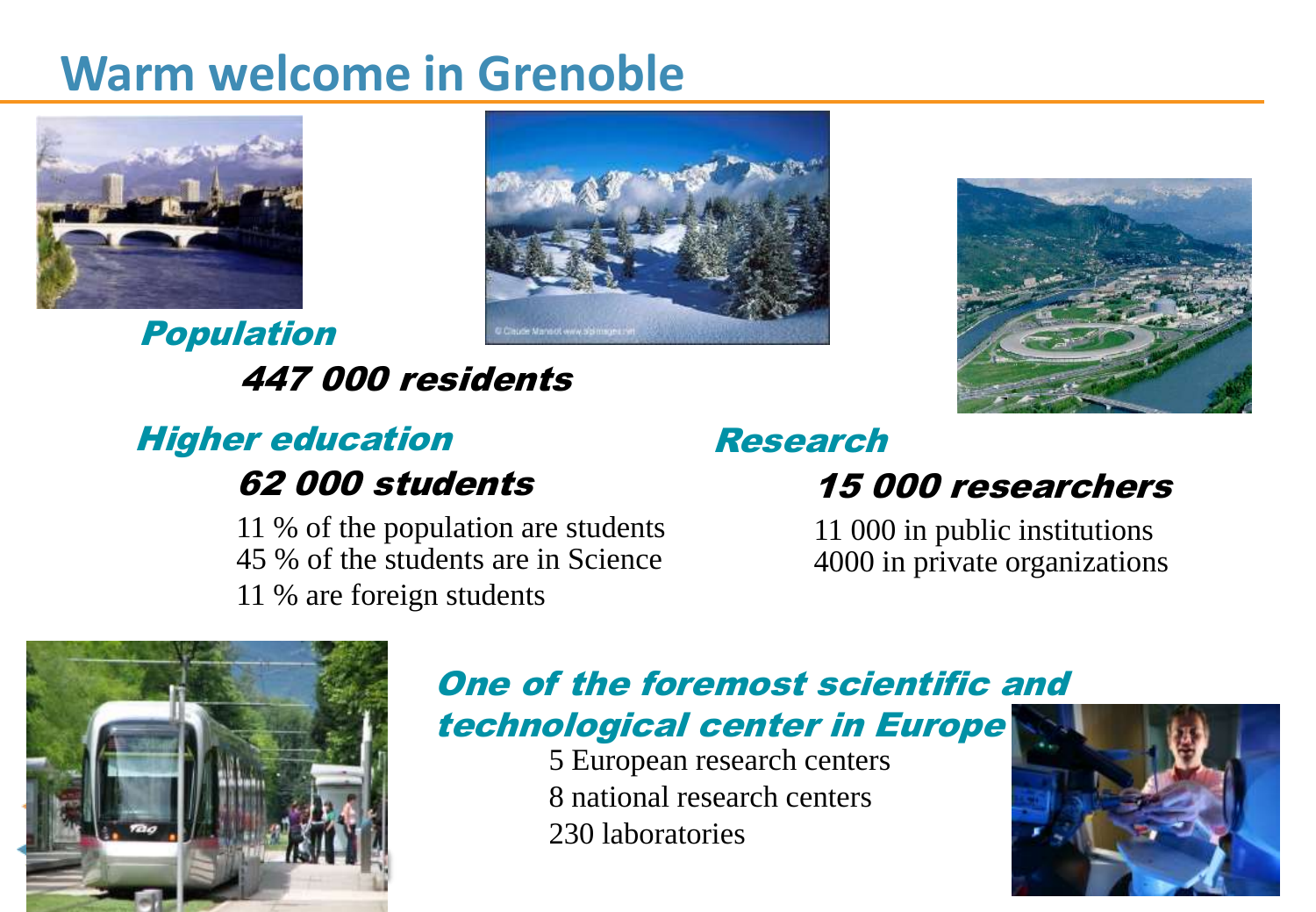### **Warm welcome in Grenoble**



Population 447 000 residents





#### Higher education 62 000 students

11 % of the population are students 45 % of the students are in Science 11 % are foreign students

### Research

#### 15 000 researchers

11 000 in public institutions 4000 in private organizations



#### One of the foremost scientific and technological center in Europe

5 European research centers 8 national research centers 230 laboratories

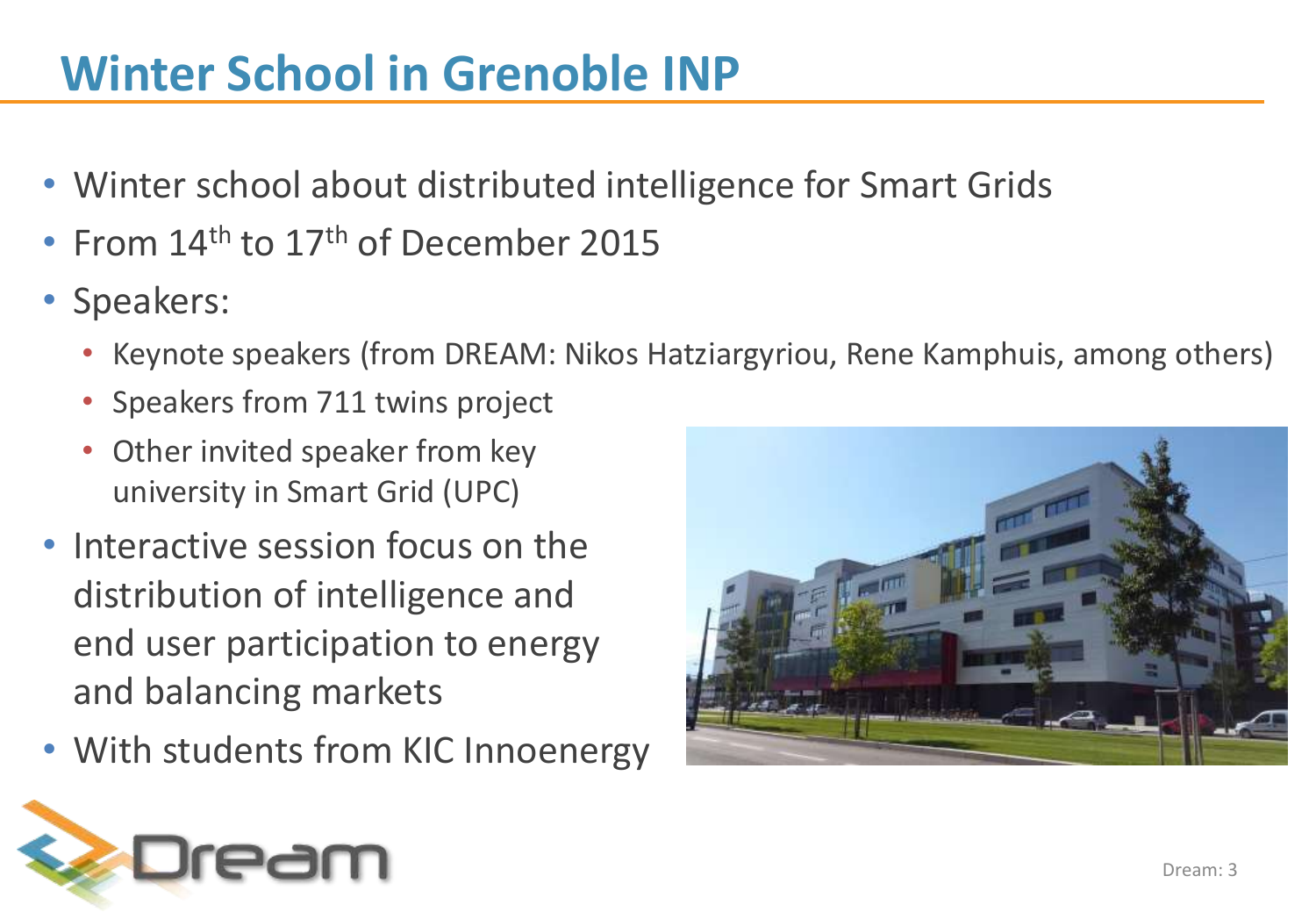### **Winter School in Grenoble INP**

- Winter school about distributed intelligence for Smart Grids
- From  $14<sup>th</sup>$  to  $17<sup>th</sup>$  of December 2015
- Speakers:
	- Keynote speakers (from DREAM: Nikos Hatziargyriou, Rene Kamphuis, among others)
	- Speakers from 711 twins project
	- Other invited speaker from key university in Smart Grid (UPC)
- Interactive session focus on the distribution of intelligence and end user participation to energy and balancing markets
- With students from KIC Innoenergy



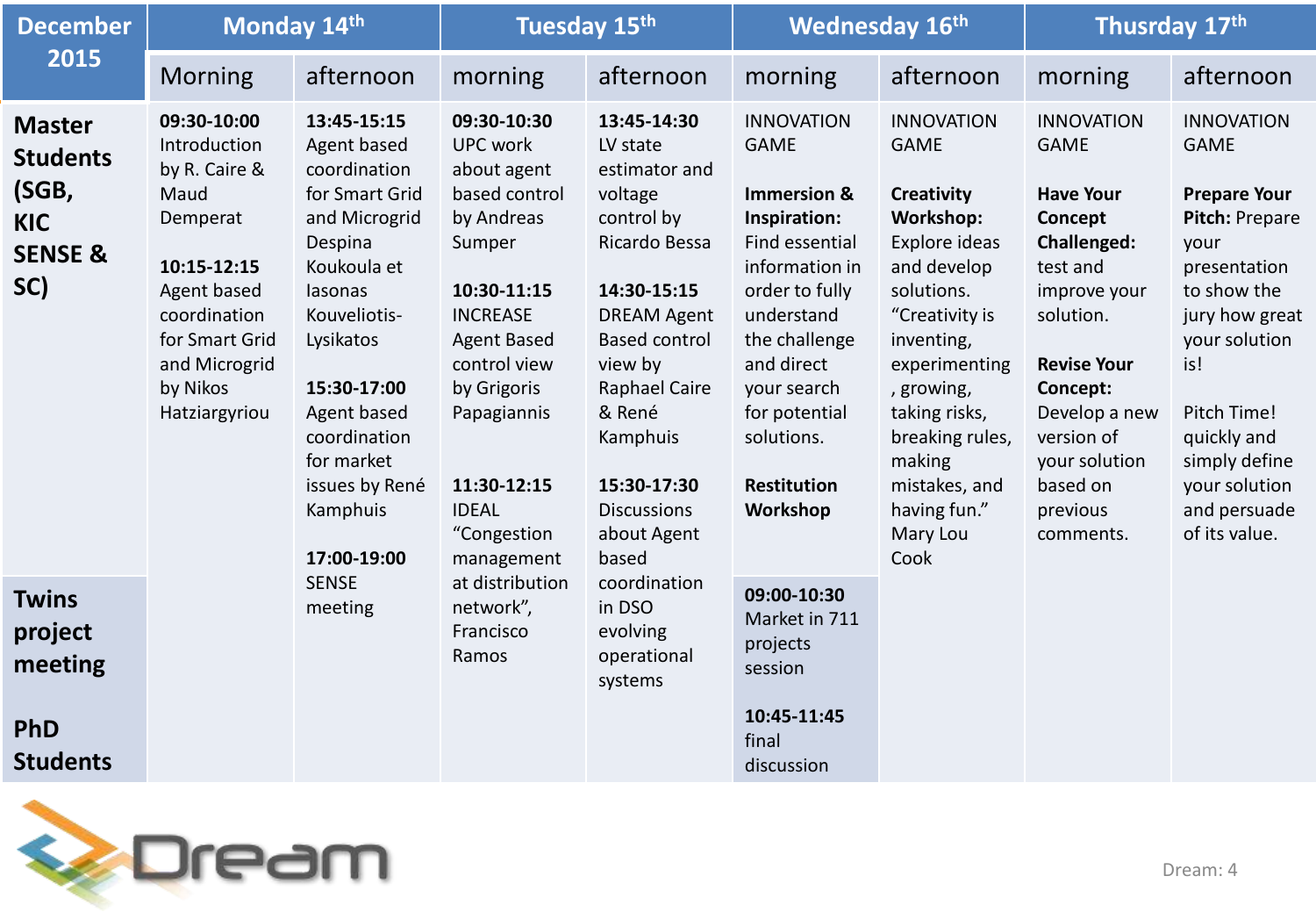| <b>December</b><br>2015                                                              | Monday 14th                                                                                                                                                                    |                                                                                                                                                                                                                                                                                     | Tuesday 15th                                                                                                                                                                                                                                                                                                   |                                                                                                                                                                                                                                                                                                                                | <b>Wednesday 16th</b>                                                                                                                                                                                                                              |                                                                                                                                                                                                                                                                                    | Thusrday 17th                                                                                                                                                                                                                                  |                                                                                                                                                                                                                                                             |
|--------------------------------------------------------------------------------------|--------------------------------------------------------------------------------------------------------------------------------------------------------------------------------|-------------------------------------------------------------------------------------------------------------------------------------------------------------------------------------------------------------------------------------------------------------------------------------|----------------------------------------------------------------------------------------------------------------------------------------------------------------------------------------------------------------------------------------------------------------------------------------------------------------|--------------------------------------------------------------------------------------------------------------------------------------------------------------------------------------------------------------------------------------------------------------------------------------------------------------------------------|----------------------------------------------------------------------------------------------------------------------------------------------------------------------------------------------------------------------------------------------------|------------------------------------------------------------------------------------------------------------------------------------------------------------------------------------------------------------------------------------------------------------------------------------|------------------------------------------------------------------------------------------------------------------------------------------------------------------------------------------------------------------------------------------------|-------------------------------------------------------------------------------------------------------------------------------------------------------------------------------------------------------------------------------------------------------------|
|                                                                                      | <b>Morning</b>                                                                                                                                                                 | afternoon                                                                                                                                                                                                                                                                           | morning                                                                                                                                                                                                                                                                                                        | afternoon                                                                                                                                                                                                                                                                                                                      | morning                                                                                                                                                                                                                                            | afternoon                                                                                                                                                                                                                                                                          | morning                                                                                                                                                                                                                                        | afternoon                                                                                                                                                                                                                                                   |
| <b>Master</b><br><b>Students</b><br>(SGB,<br><b>KIC</b><br><b>SENSE &amp;</b><br>SC) | 09:30-10:00<br>Introduction<br>by R. Caire &<br>Maud<br>Demperat<br>10:15-12:15<br>Agent based<br>coordination<br>for Smart Grid<br>and Microgrid<br>by Nikos<br>Hatziargyriou | 13:45-15:15<br>Agent based<br>coordination<br>for Smart Grid<br>and Microgrid<br>Despina<br>Koukoula et<br>lasonas<br>Kouveliotis-<br>Lysikatos<br>15:30-17:00<br>Agent based<br>coordination<br>for market<br>issues by René<br>Kamphuis<br>17:00-19:00<br><b>SENSE</b><br>meeting | 09:30-10:30<br><b>UPC work</b><br>about agent<br>based control<br>by Andreas<br>Sumper<br>10:30-11:15<br><b>INCREASE</b><br><b>Agent Based</b><br>control view<br>by Grigoris<br>Papagiannis<br>11:30-12:15<br><b>IDEAL</b><br>"Congestion<br>management<br>at distribution<br>network",<br>Francisco<br>Ramos | 13:45-14:30<br>LV state<br>estimator and<br>voltage<br>control by<br>Ricardo Bessa<br>14:30-15:15<br><b>DREAM Agent</b><br><b>Based control</b><br>view by<br>Raphael Caire<br>& René<br>Kamphuis<br>15:30-17:30<br><b>Discussions</b><br>about Agent<br>based<br>coordination<br>in DSO<br>evolving<br>operational<br>systems | <b>INNOVATION</b><br><b>GAME</b><br>Immersion &<br>Inspiration:<br>Find essential<br>information in<br>order to fully<br>understand<br>the challenge<br>and direct<br>your search<br>for potential<br>solutions.<br><b>Restitution</b><br>Workshop | <b>INNOVATION</b><br><b>GAME</b><br><b>Creativity</b><br>Workshop:<br>Explore ideas<br>and develop<br>solutions.<br>"Creativity is<br>inventing,<br>experimenting<br>, growing,<br>taking risks,<br>breaking rules,<br>making<br>mistakes, and<br>having fun."<br>Mary Lou<br>Cook | <b>INNOVATION</b><br><b>GAME</b><br><b>Have Your</b><br>Concept<br>Challenged:<br>test and<br>improve your<br>solution.<br><b>Revise Your</b><br>Concept:<br>Develop a new<br>version of<br>your solution<br>based on<br>previous<br>comments. | <b>INNOVATION</b><br><b>GAME</b><br><b>Prepare Your</b><br>Pitch: Prepare<br>your<br>presentation<br>to show the<br>jury how great<br>your solution<br>is!<br>Pitch Time!<br>quickly and<br>simply define<br>your solution<br>and persuade<br>of its value. |
| <b>Twins</b><br>project<br>meeting<br><b>PhD</b><br><b>Students</b>                  |                                                                                                                                                                                |                                                                                                                                                                                                                                                                                     |                                                                                                                                                                                                                                                                                                                |                                                                                                                                                                                                                                                                                                                                | 09:00-10:30<br>Market in 711<br>projects<br>session<br>10:45-11:45<br>final<br>discussion                                                                                                                                                          |                                                                                                                                                                                                                                                                                    |                                                                                                                                                                                                                                                |                                                                                                                                                                                                                                                             |

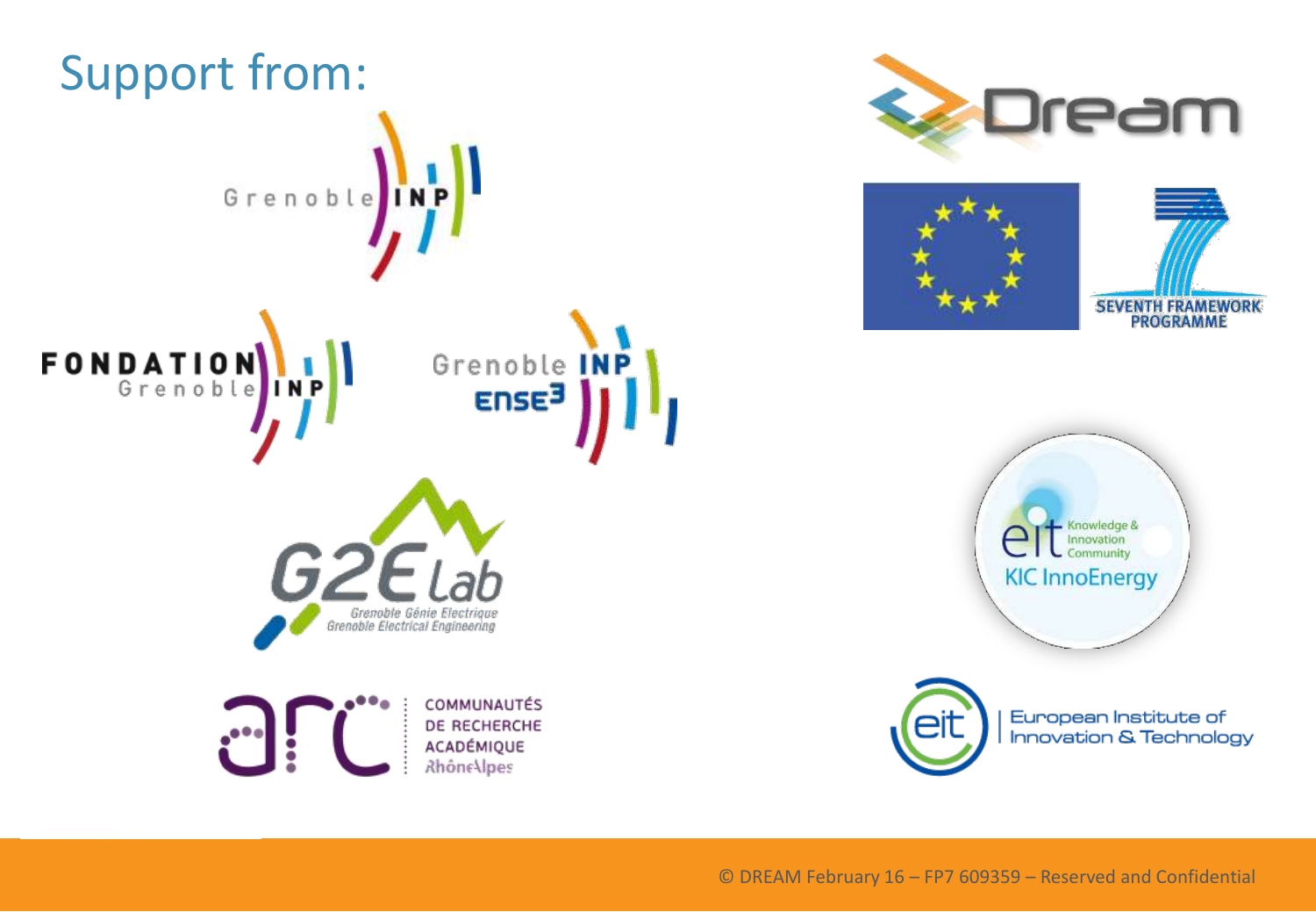









European Institute of **Innovation & Technology**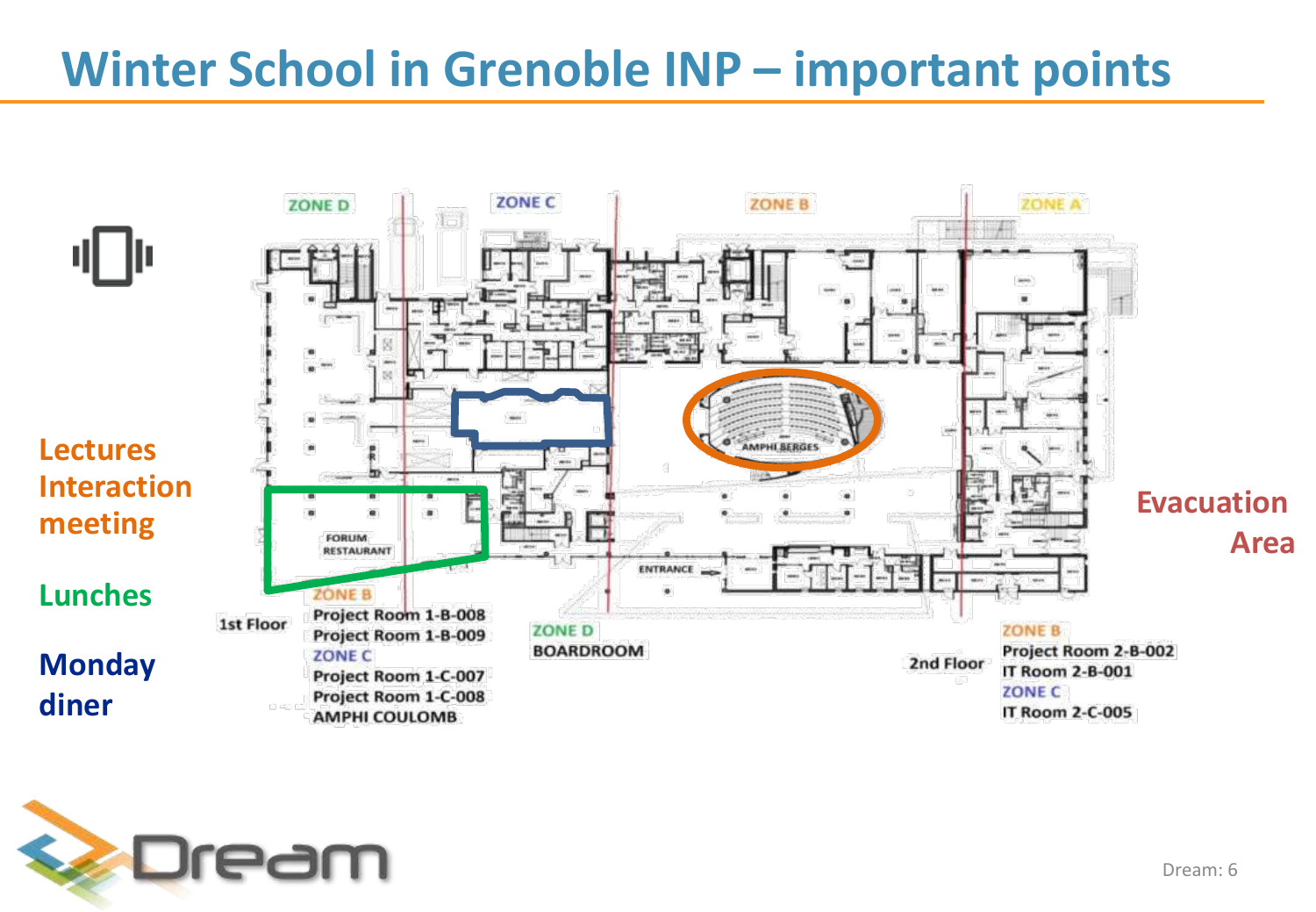### **Winter School in Grenoble INP – important points**